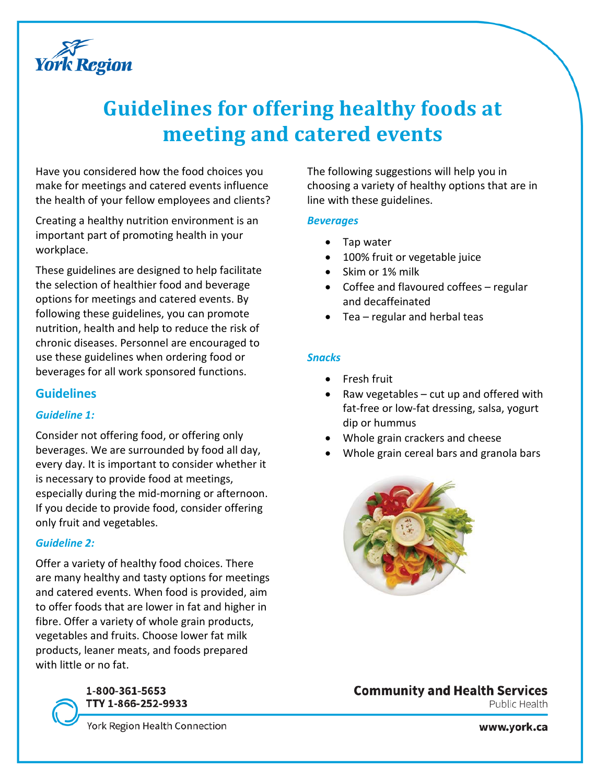

# **Guidelines for offering healthy foods at meeting and catered events**

Have you considered how the food choices you make for meetings and catered events influence the health of your fellow employees and clients?

Creating a healthy nutrition environment is an important part of promoting health in your workplace.

These guidelines are designed to help facilitate the selection of healthier food and beverage options for meetings and catered events. By following these guidelines, you can promote nutrition, health and help to reduce the risk of chronic diseases. Personnel are encouraged to use these guidelines when ordering food or beverages for all work sponsored functions.

## **Guidelines**

## *Guideline 1:*

Consider not offering food, or offering only beverages. We are surrounded by food all day, every day. It is important to consider whether it is necessary to provide food at meetings, especially during the mid-morning or afternoon. If you decide to provide food, consider offering only fruit and vegetables.

## *Guideline 2:*

Offer a variety of healthy food choices. There are many healthy and tasty options for meetings and catered events. When food is provided, aim to offer foods that are lower in fat and higher in fibre. Offer a variety of whole grain products, vegetables and fruits. Choose lower fat milk products, leaner meats, and foods prepared with little or no fat.

## 1-800-361-5653 TTY 1-866-252-9933

York Region Health Connection

The following suggestions will help you in choosing a variety of healthy options that are in line with these guidelines.

## *Beverages*

- Tap water
- 100% fruit or vegetable juice
- Skim or 1% milk
- Coffee and flavoured coffees regular and decaffeinated
- Tea regular and herbal teas

## *Snacks*

- Fresh fruit
- Raw vegetables cut up and offered with fat-free or low-fat dressing, salsa, yogurt dip or hummus
- Whole grain crackers and cheese
- Whole grain cereal bars and granola bars



## **Community and Health Services**

Public Health

www.york.ca